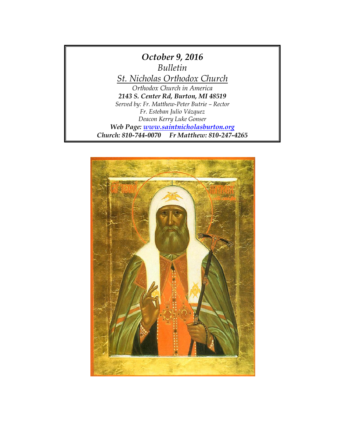

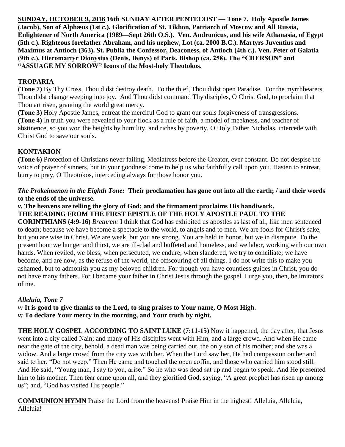**SUNDAY, OCTOBER 9, 2016 16th SUNDAY AFTER PENTECOST** — **Tone 7. Holy Apostle James (Jacob), Son of Alphæus (1st c.). Glorification of St. Tikhon, Patriarch of Moscow and All Russia, Enlightener of North America (1989—Sept 26th O.S.). Ven. Andronicus, and his wife Athanasia, of Egypt (5th c.). Righteous forefather Abraham, and his nephew, Lot (ca. 2000 B.C.). Martyrs Juventius and Maximus at Antioch (363). St. Publia the Confessor, Deaconess, of Antioch (4th c.). Ven. Peter of Galatia (9th c.). Hieromartyr Dionysius (Denis, Denys) of Paris, Bishop (ca. 258). The "CHERSON" and "ASSUAGE MY SORROW" Icons of the Most-holy Theotokos.**

## **TROPARIA**

**(Tone 7)** By Thy Cross, Thou didst destroy death. To the thief, Thou didst open Paradise. For the myrrhbearers, Thou didst change weeping into joy. And Thou didst command Thy disciples, O Christ God, to proclaim that Thou art risen, granting the world great mercy.

**(Tone 3)** Holy Apostle James, entreat the merciful God to grant our souls forgiveness of transgressions. **(Tone 4)** In truth you were revealed to your flock as a rule of faith, a model of meekness, and teacher of abstinence, so you won the heights by humility, and riches by poverty, O Holy Father Nicholas, intercede with Christ God to save our souls.

## **KONTAKION**

**(Tone 6)** Protection of Christians never failing, Mediatress before the Creator, ever constant. Do not despise the voice of prayer of sinners, but in your goodness come to help us who faithfully call upon you. Hasten to entreat, hurry to pray, O Theotokos, interceding always for those honor you.

#### *The Prokeimenon in the Eighth Tone:* **Their proclamation has gone out into all the earth; / and their words to the ends of the universe.**

#### *v.* **The heavens are telling the glory of God; and the firmament proclaims His handiwork. THE READING FROM THE FIRST EPISTLE OF THE HOLY APOSTLE PAUL TO THE**

**CORINTHIANS (4:9-16)** *Brethren:* I think that God has exhibited us apostles as last of all, like men sentenced to death; because we have become a spectacle to the world, to angels and to men. We are fools for Christ's sake, but you are wise in Christ. We are weak, but you are strong. You are held in honor, but we in disrepute. To the present hour we hunger and thirst, we are ill-clad and buffeted and homeless, and we labor, working with our own hands. When reviled, we bless; when persecuted, we endure; when slandered, we try to conciliate; we have become, and are now, as the refuse of the world, the offscouring of all things. I do not write this to make you ashamed, but to admonish you as my beloved children. For though you have countless guides in Christ, you do not have many fathers. For I became your father in Christ Jesus through the gospel. I urge you, then, be imitators of me.

### *Alleluia, Tone 7*

*v:* **It is good to give thanks to the Lord, to sing praises to Your name, O Most High.**  *v:* **To declare Your mercy in the morning, and Your truth by night.** 

**THE HOLY GOSPEL ACCORDING TO SAINT LUKE (7:11-15)** Now it happened, the day after, that Jesus went into a city called Nain; and many of His disciples went with Him, and a large crowd. And when He came near the gate of the city, behold, a dead man was being carried out, the only son of his mother; and she was a widow. And a large crowd from the city was with her. When the Lord saw her, He had compassion on her and said to her, "Do not weep." Then He came and touched the open coffin, and those who carried him stood still. And He said, "Young man, I say to you, arise." So he who was dead sat up and began to speak. And He presented him to his mother. Then fear came upon all, and they glorified God, saying, "A great prophet has risen up among us"; and, "God has visited His people."

**COMMUNION HYMN** Praise the Lord from the heavens! Praise Him in the highest! Alleluia, Alleluia, Alleluia!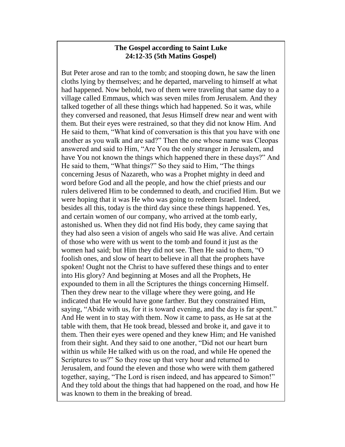#### **The Gospel according to Saint Luke 24:12-35 (5th Matins Gospel)**

But Peter arose and ran to the tomb; and stooping down, he saw the linen cloths lying by themselves; and he departed, marveling to himself at what had happened. Now behold, two of them were traveling that same day to a village called Emmaus, which was seven miles from Jerusalem. And they talked together of all these things which had happened. So it was, while they conversed and reasoned, that Jesus Himself drew near and went with them. But their eyes were restrained, so that they did not know Him. And He said to them, "What kind of conversation is this that you have with one another as you walk and are sad?" Then the one whose name was Cleopas answered and said to Him, "Are You the only stranger in Jerusalem, and have You not known the things which happened there in these days?" And He said to them, "What things?" So they said to Him, "The things concerning Jesus of Nazareth, who was a Prophet mighty in deed and word before God and all the people, and how the chief priests and our rulers delivered Him to be condemned to death, and crucified Him. But we were hoping that it was He who was going to redeem Israel. Indeed, besides all this, today is the third day since these things happened. Yes, and certain women of our company, who arrived at the tomb early, astonished us. When they did not find His body, they came saying that they had also seen a vision of angels who said He was alive. And certain of those who were with us went to the tomb and found it just as the women had said; but Him they did not see. Then He said to them, "O foolish ones, and slow of heart to believe in all that the prophets have spoken! Ought not the Christ to have suffered these things and to enter into His glory? And beginning at Moses and all the Prophets, He expounded to them in all the Scriptures the things concerning Himself. Then they drew near to the village where they were going, and He indicated that He would have gone farther. But they constrained Him, saying, "Abide with us, for it is toward evening, and the day is far spent." And He went in to stay with them. Now it came to pass, as He sat at the table with them, that He took bread, blessed and broke it, and gave it to them. Then their eyes were opened and they knew Him; and He vanished from their sight. And they said to one another, "Did not our heart burn within us while He talked with us on the road, and while He opened the Scriptures to us?" So they rose up that very hour and returned to Jerusalem, and found the eleven and those who were with them gathered together, saying, "The Lord is risen indeed, and has appeared to Simon!" And they told about the things that had happened on the road, and how He was known to them in the breaking of bread.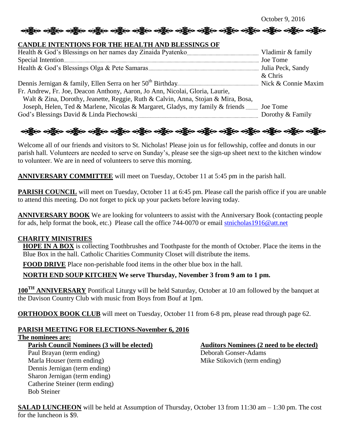October 9, 2016

#### **CANDLE INTENTIONS FOR THE HEALTH AND BLESSINGS OF**

|                                                                                         | $&$ Chris        |
|-----------------------------------------------------------------------------------------|------------------|
|                                                                                         |                  |
| Fr. Andrew, Fr. Joe, Deacon Anthony, Aaron, Jo Ann, Nicolai, Gloria, Laurie,            |                  |
| Walt & Zina, Dorothy, Jeanette, Reggie, Ruth & Calvin, Anna, Stojan & Mira, Bosa,       |                  |
| Joseph, Helen, Ted & Marlene, Nicolas & Margaret, Gladys, my family & friends  Joe Tome |                  |
|                                                                                         | Dorothy & Family |
|                                                                                         |                  |

# ခရွို့လ ခရွို့လ ခရွို့လ ခရွို့လ ခရွို့လ ခရွို့လ ခရွို့လ ခရွို့လ ခရွို့လ ခရွို့လ ခရွို့လ ခရွို့လ ခရွို့လ ခရွို့လ

Welcome all of our friends and visitors to St. Nicholas! Please join us for fellowship, coffee and donuts in our parish hall. Volunteers are needed to serve on Sunday's, please see the sign-up sheet next to the kitchen window to volunteer. We are in need of volunteers to serve this morning.

**ANNIVERSARY COMMITTEE** will meet on Tuesday, October 11 at 5:45 pm in the parish hall.

**PARISH COUNCIL** will meet on Tuesday, October 11 at 6:45 pm. Please call the parish office if you are unable to attend this meeting. Do not forget to pick up your packets before leaving today.

**ANNIVERSARY BOOK** We are looking for volunteers to assist with the Anniversary Book (contacting people for ads, help format the book, etc.) Please call the office 744-0070 or email [stnicholas1916@att.net](mailto:stnicholas1916@att.net)

#### **CHARITY MINISTRIES**

**HOPE IN A BOX** is collecting Toothbrushes and Toothpaste for the month of October. Place the items in the Blue Box in the hall. Catholic Charities Community Closet will distribute the items.

**FOOD DRIVE** Place non-perishable food items in the other blue box in the hall.

### **NORTH END SOUP KITCHEN We serve Thursday, November 3 from 9 am to 1 pm.**

**100TH ANNIVERSARY** Pontifical Liturgy will be held Saturday, October at 10 am followed by the banquet at the Davison Country Club with music from Boys from Bouf at 1pm.

**ORTHODOX BOOK CLUB** will meet on Tuesday, October 11 from 6-8 pm, please read through page 62.

# **PARISH MEETING FOR ELECTIONS-November 6, 2016**

**The nominees are:**

Parish Council Nominees (3 will be elected) **Auditors Nominees (2 need to be elected)** 

Paul Brayan (term ending) Deborah Gonser-Adams Marla Houser (term ending) Mike Stikovich (term ending) Dennis Jernigan (term ending) Sharon Jernigan (term ending) Catherine Steiner (term ending) Bob Steiner

**SALAD LUNCHEON** will be held at Assumption of Thursday, October 13 from 11:30 am – 1:30 pm. The cost for the luncheon is \$9.